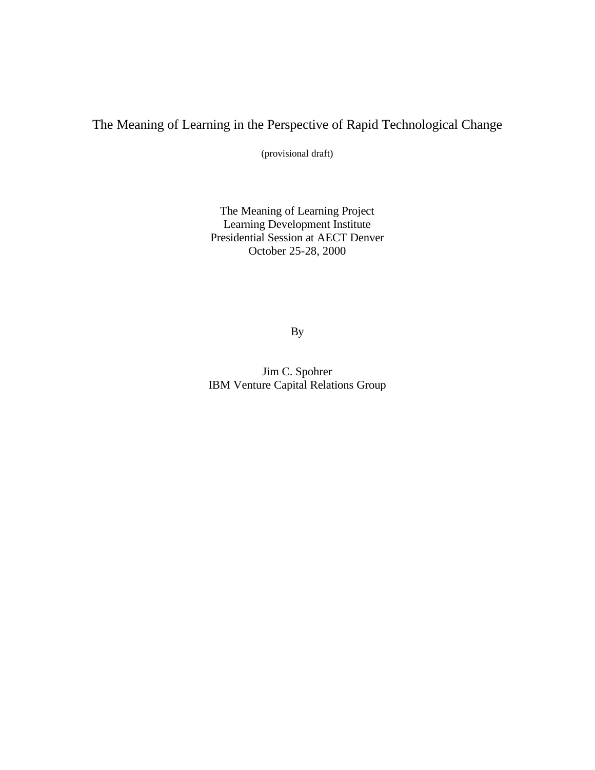# The Meaning of Learning in the Perspective of Rapid Technological Change

(provisional draft)

The Meaning of Learning Project Learning Development Institute Presidential Session at AECT Denver October 25-28, 2000

By

Jim C. Spohrer IBM Venture Capital Relations Group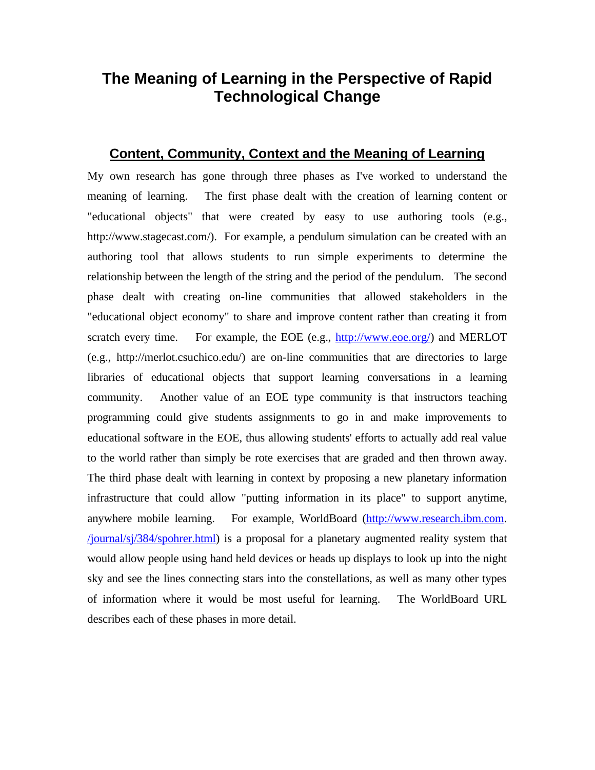# **The Meaning of Learning in the Perspective of Rapid Technological Change**

## **Content, Community, Context and the Meaning of Learning**

My own research has gone through three phases as I've worked to understand the meaning of learning. The first phase dealt with the creation of learning content or "educational objects" that were created by easy to use authoring tools (e.g., http://www.stagecast.com/). For example, a pendulum simulation can be created with an authoring tool that allows students to run simple experiments to determine the relationship between the length of the string and the period of the pendulum. The second phase dealt with creating on-line communities that allowed stakeholders in the "educational object economy" to share and improve content rather than creating it from scratch every time. For example, the EOE (e.g.,  $\frac{http://www.eoe.org/}{http://www.eoe.org/}{and MERLOT}$ ) (e.g., http://merlot.csuchico.edu/) are on-line communities that are directories to large libraries of educational objects that support learning conversations in a learning community. Another value of an EOE type community is that instructors teaching programming could give students assignments to go in and make improvements to educational software in the EOE, thus allowing students' efforts to actually add real value to the world rather than simply be rote exercises that are graded and then thrown away. The third phase dealt with learning in context by proposing a new planetary information infrastructure that could allow "putting information in its place" to support anytime, anywhere mobile learning. For example, WorldBoard (http://www.research.ibm.com. /journal/sj/384/spohrer.html) is a proposal for a planetary augmented reality system that would allow people using hand held devices or heads up displays to look up into the night sky and see the lines connecting stars into the constellations, as well as many other types of information where it would be most useful for learning. The WorldBoard URL describes each of these phases in more detail.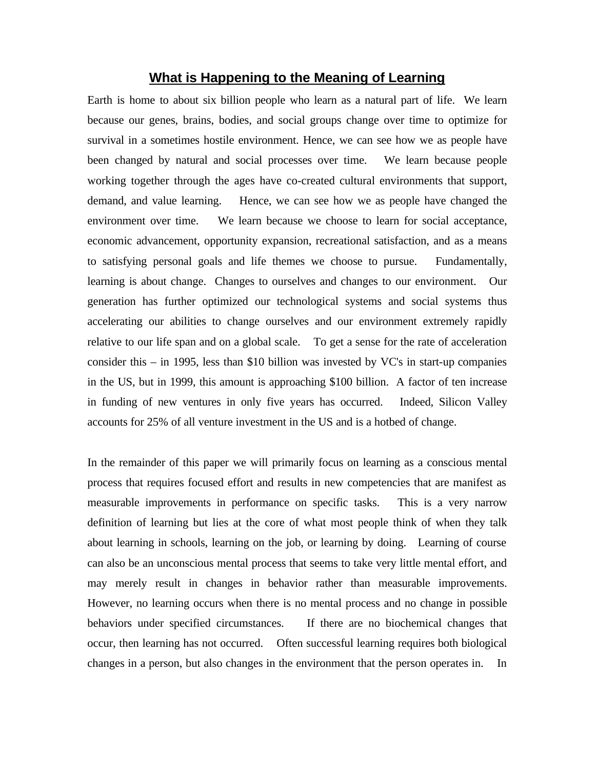#### **What is Happening to the Meaning of Learning**

Earth is home to about six billion people who learn as a natural part of life. We learn because our genes, brains, bodies, and social groups change over time to optimize for survival in a sometimes hostile environment. Hence, we can see how we as people have been changed by natural and social processes over time. We learn because people working together through the ages have co-created cultural environments that support, demand, and value learning. Hence, we can see how we as people have changed the environment over time. We learn because we choose to learn for social acceptance, economic advancement, opportunity expansion, recreational satisfaction, and as a means to satisfying personal goals and life themes we choose to pursue. Fundamentally, learning is about change. Changes to ourselves and changes to our environment. Our generation has further optimized our technological systems and social systems thus accelerating our abilities to change ourselves and our environment extremely rapidly relative to our life span and on a global scale. To get a sense for the rate of acceleration consider this – in 1995, less than \$10 billion was invested by VC's in start-up companies in the US, but in 1999, this amount is approaching \$100 billion. A factor of ten increase in funding of new ventures in only five years has occurred. Indeed, Silicon Valley accounts for 25% of all venture investment in the US and is a hotbed of change.

In the remainder of this paper we will primarily focus on learning as a conscious mental process that requires focused effort and results in new competencies that are manifest as measurable improvements in performance on specific tasks. This is a very narrow definition of learning but lies at the core of what most people think of when they talk about learning in schools, learning on the job, or learning by doing. Learning of course can also be an unconscious mental process that seems to take very little mental effort, and may merely result in changes in behavior rather than measurable improvements. However, no learning occurs when there is no mental process and no change in possible behaviors under specified circumstances. If there are no biochemical changes that occur, then learning has not occurred. Often successful learning requires both biological changes in a person, but also changes in the environment that the person operates in. In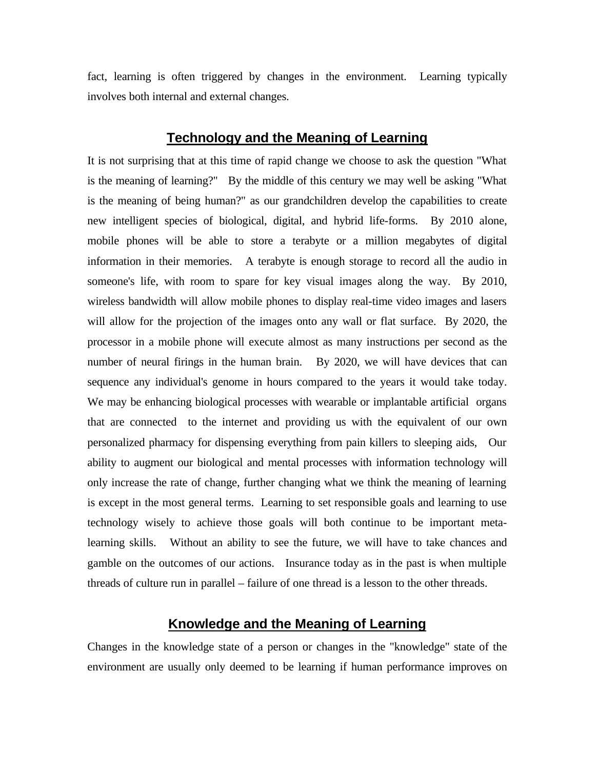fact, learning is often triggered by changes in the environment. Learning typically involves both internal and external changes.

#### **Technology and the Meaning of Learning**

It is not surprising that at this time of rapid change we choose to ask the question "What is the meaning of learning?" By the middle of this century we may well be asking "What is the meaning of being human?" as our grandchildren develop the capabilities to create new intelligent species of biological, digital, and hybrid life-forms. By 2010 alone, mobile phones will be able to store a terabyte or a million megabytes of digital information in their memories. A terabyte is enough storage to record all the audio in someone's life, with room to spare for key visual images along the way. By 2010, wireless bandwidth will allow mobile phones to display real-time video images and lasers will allow for the projection of the images onto any wall or flat surface. By 2020, the processor in a mobile phone will execute almost as many instructions per second as the number of neural firings in the human brain. By 2020, we will have devices that can sequence any individual's genome in hours compared to the years it would take today. We may be enhancing biological processes with wearable or implantable artificial organs that are connected to the internet and providing us with the equivalent of our own personalized pharmacy for dispensing everything from pain killers to sleeping aids, Our ability to augment our biological and mental processes with information technology will only increase the rate of change, further changing what we think the meaning of learning is except in the most general terms. Learning to set responsible goals and learning to use technology wisely to achieve those goals will both continue to be important metalearning skills. Without an ability to see the future, we will have to take chances and gamble on the outcomes of our actions. Insurance today as in the past is when multiple threads of culture run in parallel – failure of one thread is a lesson to the other threads.

## **Knowledge and the Meaning of Learning**

Changes in the knowledge state of a person or changes in the "knowledge" state of the environment are usually only deemed to be learning if human performance improves on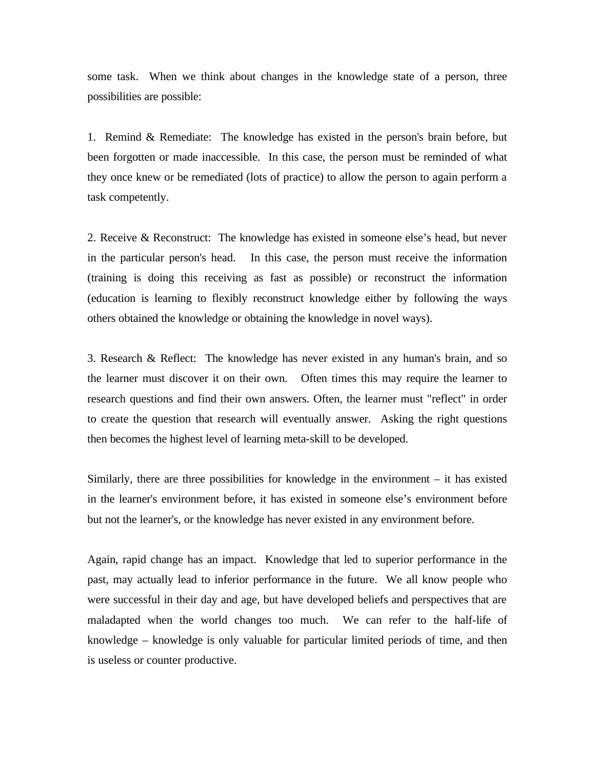some task. When we think about changes in the knowledge state of a person, three possibilities are possible:

1. Remind & Remediate: The knowledge has existed in the person's brain before, but been forgotten or made inaccessible. In this case, the person must be reminded of what they once knew or be remediated (lots of practice) to allow the person to again perform a task competently.

2. Receive & Reconstruct: The knowledge has existed in someone else's head, but never in the particular person's head. In this case, the person must receive the information (training is doing this receiving as fast as possible) or reconstruct the information (education is learning to flexibly reconstruct knowledge either by following the ways others obtained the knowledge or obtaining the knowledge in novel ways).

3. Research & Reflect: The knowledge has never existed in any human's brain, and so the learner must discover it on their own. Often times this may require the learner to research questions and find their own answers. Often, the learner must "reflect" in order to create the question that research will eventually answer. Asking the right questions then becomes the highest level of learning meta-skill to be developed.

Similarly, there are three possibilities for knowledge in the environment – it has existed in the learner's environment before, it has existed in someone else's environment before but not the learner's, or the knowledge has never existed in any environment before.

Again, rapid change has an impact. Knowledge that led to superior performance in the past, may actually lead to inferior performance in the future. We all know people who were successful in their day and age, but have developed beliefs and perspectives that are maladapted when the world changes too much. We can refer to the half-life of knowledge – knowledge is only valuable for particular limited periods of time, and then is useless or counter productive.